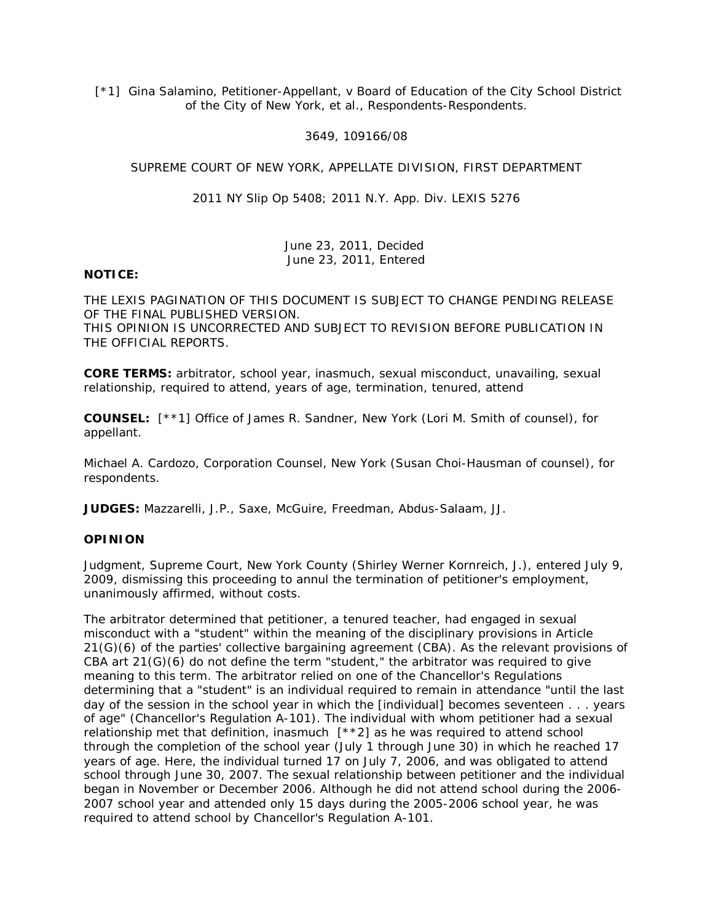[\*1] Gina Salamino, Petitioner-Appellant, v Board of Education of the City School District of the City of New York, et al., Respondents-Respondents.

## 3649, 109166/08

## SUPREME COURT OF NEW YORK, APPELLATE DIVISION, FIRST DEPARTMENT

2011 NY Slip Op 5408; 2011 N.Y. App. Div. LEXIS 5276

June 23, 2011, Decided June 23, 2011, Entered

## **NOTICE:**

THE LEXIS PAGINATION OF THIS DOCUMENT IS SUBJECT TO CHANGE PENDING RELEASE OF THE FINAL PUBLISHED VERSION. THIS OPINION IS UNCORRECTED AND SUBJECT TO REVISION BEFORE PUBLICATION IN THE OFFICIAL REPORTS.

**CORE TERMS:** arbitrator, school year, inasmuch, sexual misconduct, unavailing, sexual relationship, required to attend, years of age, termination, tenured, attend

**COUNSEL:** [\*\*1] Office of James R. Sandner, New York (Lori M. Smith of counsel), for appellant.

Michael A. Cardozo, Corporation Counsel, New York (Susan Choi-Hausman of counsel), for respondents.

**JUDGES:** Mazzarelli, J.P., Saxe, McGuire, Freedman, Abdus-Salaam, JJ.

## **OPINION**

Judgment, Supreme Court, New York County (Shirley Werner Kornreich, J.), entered July 9, 2009, dismissing this proceeding to annul the termination of petitioner's employment, unanimously affirmed, without costs.

The arbitrator determined that petitioner, a tenured teacher, had engaged in sexual misconduct with a "student" within the meaning of the disciplinary provisions in Article 21(G)(6) of the parties' collective bargaining agreement (CBA). As the relevant provisions of  $CBA$  art  $21(G)(6)$  do not define the term "student," the arbitrator was required to give meaning to this term. The arbitrator relied on one of the Chancellor's Regulations determining that a "student" is an individual required to remain in attendance "until the last day of the session in the school year in which the [individual] becomes seventeen . . . years of age" (Chancellor's Regulation A-101). The individual with whom petitioner had a sexual relationship met that definition, inasmuch [\*\*2] as he was required to attend school through the completion of the school year (July 1 through June 30) in which he reached 17 years of age. Here, the individual turned 17 on July 7, 2006, and was obligated to attend school through June 30, 2007. The sexual relationship between petitioner and the individual began in November or December 2006. Although he did not attend school during the 2006- 2007 school year and attended only 15 days during the 2005-2006 school year, he was required to attend school by Chancellor's Regulation A-101.